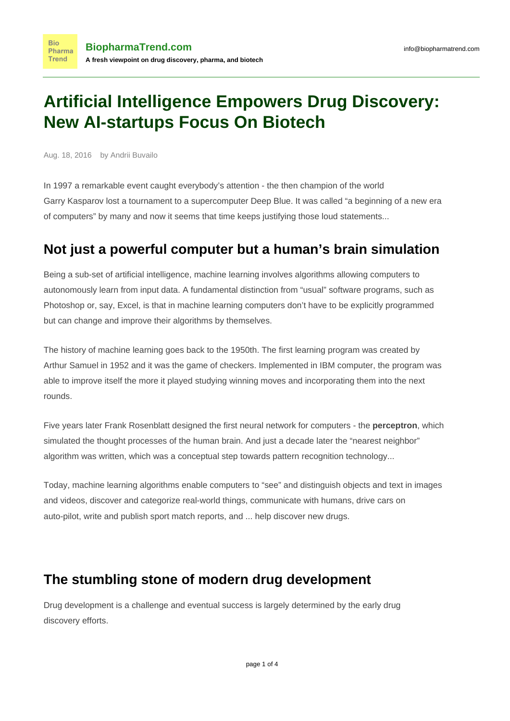# **Artificial Intelligence Empowers Drug Discovery: New AI-startups Focus On Biotech**

Aug. 18, 2016 by Andrii Buvailo

**Bio** 

In 1997 a remarkable event caught everybody's attention - the then champion of the world Garry [Kasparov](https://en.wikipedia.org/wiki/Garry_Kasparov) lost a tournament to a supercomputer [Deep Blue](http://www-03.ibm.com/ibm/history/ibm100/us/en/icons/deepblue/). It was called "a beginning of a new era of computers" by many and now it seems that time keeps justifying those loud statements...

### **Not just a powerful computer but a human's brain simulation**

Being a sub-set of artificial intelligence, machine learning involves algorithms allowing computers to autonomously learn from input data. A fundamental distinction from "usual" software programs, such as Photoshop or, say, Excel, is that in machine learning computers don't have to be explicitly programmed but can change and improve their algorithms by themselves.

The history of machine learning goes back to the 1950th. The first learning program was created by Arthur Samuel in 1952 and it was the game of checkers. Implemented in IBM computer, the program was able to improve itself the more it played studying winning moves and incorporating them into the next rounds.

Five years later Frank Rosenblatt designed the first neural network for computers - the **perceptron**, which simulated the thought processes of the human brain. And just a decade later the "nearest neighbor" algorithm was written, which was a conceptual step towards pattern recognition technology...

Today, machine learning algorithms enable computers to "see" and distinguish objects and text in images and videos, discover and categorize real-world things, communicate with humans, drive cars on auto-pilot, write and publish sport match reports, and ... help discover new drugs.

## **The stumbling stone of modern drug development**

Drug development is a challenge and eventual success is largely determined by the early drug discovery efforts.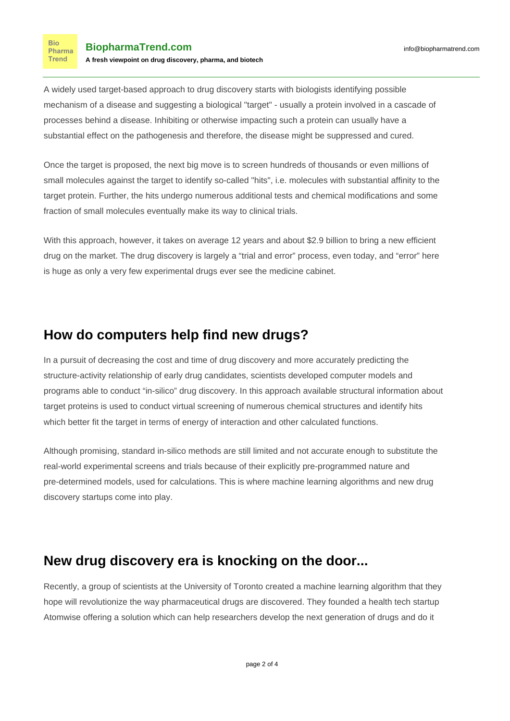**Bio** Pharma Trend

A widely used target-based approach to drug discovery starts with biologists identifying possible mechanism of a disease and suggesting a biological "target" - usually a protein involved in a cascade of processes behind a disease. Inhibiting or otherwise impacting such a protein can usually have a substantial effect on the pathogenesis and therefore, the disease might be suppressed and cured.

Once the target is proposed, the next big move is to screen hundreds of thousands or even millions of small molecules against the target to identify so-called "hits", i.e. molecules with substantial affinity to the target protein. Further, the hits undergo numerous additional tests and chemical modifications and some fraction of small molecules eventually make its way to clinical trials.

With this approach, however, it takes on average 12 years and about [\\$2.9 billion](http://www.fiercebiotech.com/r-d/average-cost-of-drug-r-d-try-2-9b-on-for-size) to bring a new efficient drug on the market. The drug discovery is largely a "trial and error" process, even today, and "error" here is huge as only a very few experimental drugs ever see the medicine cabinet.

#### **How do computers help find new drugs?**

In a pursuit of decreasing the cost and time of drug discovery and more accurately predicting the structure-activity relationship of early drug candidates, scientists developed computer models and programs able to conduct "in-silico" drug discovery. In this approach available structural information about target proteins is used to conduct virtual screening of numerous chemical structures and identify hits which better fit the target in terms of energy of interaction and other calculated functions.

Although promising, standard in-silico methods are still limited and not accurate enough to substitute the real-world experimental screens and trials because of their explicitly pre-programmed nature and pre-determined models, used for calculations. This is where machine learning algorithms and new drug discovery startups come into play.

#### **New drug discovery era is knocking on the door...**

Recently, a group of scientists at the University of Toronto created a machine learning algorithm that they hope will revolutionize the way pharmaceutical drugs are discovered. They founded a health tech startup [Atomwise](http://www.atomwise.com/) offering a solution which can help researchers develop the next generation of drugs and do it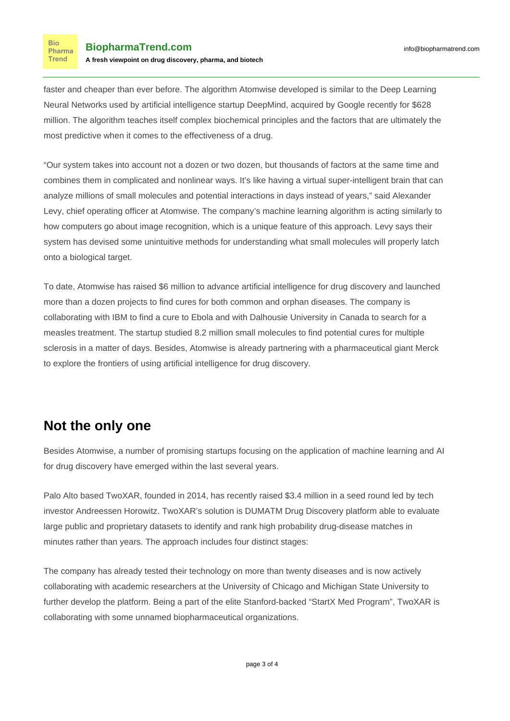faster and cheaper than ever before. The algorithm Atomwise developed is similar to the [Deep Learning](https://en.wikipedia.org/wiki/Deep_learning#Artificial_neural_networks) Neural Networks used by artificial intelligence startup DeepMind, acquired by Google recently for \$628 million. The algorithm teaches itself complex biochemical principles and the factors that are ultimately the most predictive when it comes to the effectiveness of a drug.

"Our system takes into account not a dozen or two dozen, but thousands of factors at the same time and combines them in complicated and nonlinear ways. It's like having a virtual super-intelligent brain that can analyze millions of small molecules and potential interactions in days instead of years," said Alexander Levy, chief operating officer at Atomwise. The company's machine learning algorithm is acting similarly to how computers go about image recognition, which is a unique feature of this approach. Levy says their system has devised some unintuitive methods for understanding what small molecules will properly latch onto a biological target.

To date, Atomwise has raised \$6 million to advance artificial intelligence for drug discovery and launched more than a dozen projects to find cures for both common and orphan diseases. The company is collaborating with IBM to find a cure to Ebola and with Dalhousie University in Canada to search for a measles treatment. The startup studied 8.2 million small molecules to find potential cures for multiple sclerosis in a matter of days. Besides, Atomwise is already partnering with a pharmaceutical giant [Merck](http://www.merck.com/index.html) to explore the frontiers of using artificial intelligence for drug discovery.

#### **Not the only one**

Besides Atomwise, a number of promising startups focusing on the application of machine learning and AI for drug discovery have emerged within the last several years.

Palo Alto based [TwoXAR](http://www.twoxar.com/), founded in 2014, has recently raised \$3.4 million in a seed round led by tech investor Andreessen Horowitz. TwoXAR's solution is DUMATM Drug Discovery platform able to evaluate large public and proprietary datasets to identify and rank high probability drug-disease matches in minutes rather than years. The approach includes four distinct stages:

The company has already tested their technology on more than twenty diseases and is now actively collaborating with academic researchers at the University of Chicago and Michigan State University to further develop the platform. Being a part of the elite Stanford-backed "StartX Med Program", TwoXAR is collaborating with some unnamed biopharmaceutical organizations.